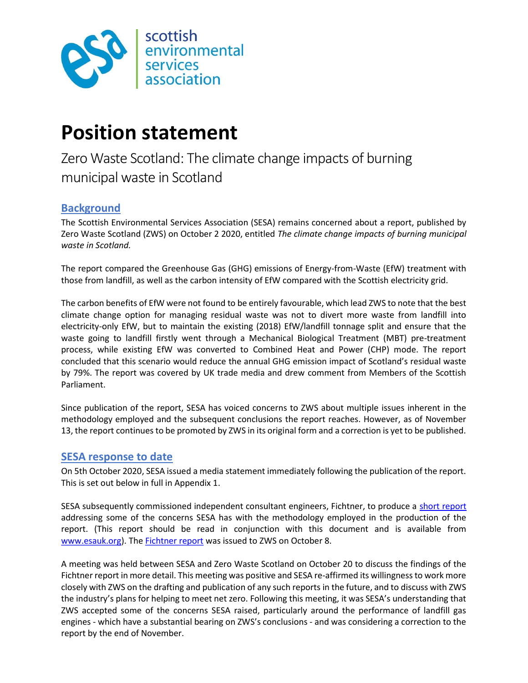

# Position statement

Zero Waste Scotland: The climate change impacts of burning municipal waste in Scotland

# **Background**

The Scottish Environmental Services Association (SESA) remains concerned about a report, published by Zero Waste Scotland (ZWS) on October 2 2020, entitled The climate change impacts of burning municipal waste in Scotland.

The report compared the Greenhouse Gas (GHG) emissions of Energy-from-Waste (EfW) treatment with those from landfill, as well as the carbon intensity of EfW compared with the Scottish electricity grid.

The carbon benefits of EfW were not found to be entirely favourable, which lead ZWS to note that the best climate change option for managing residual waste was not to divert more waste from landfill into electricity-only EfW, but to maintain the existing (2018) EfW/landfill tonnage split and ensure that the waste going to landfill firstly went through a Mechanical Biological Treatment (MBT) pre-treatment process, while existing EfW was converted to Combined Heat and Power (CHP) mode. The report concluded that this scenario would reduce the annual GHG emission impact of Scotland's residual waste by 79%. The report was covered by UK trade media and drew comment from Members of the Scottish Parliament.

Since publication of the report, SESA has voiced concerns to ZWS about multiple issues inherent in the methodology employed and the subsequent conclusions the report reaches. However, as of November 13, the report continues to be promoted by ZWS in its original form and a correction is yet to be published.

### SESA response to date

On 5th October 2020, SESA issued a media statement immediately following the publication of the report. This is set out below in full in Appendix 1.

SESA subsequently commissioned independent consultant engineers, Fichtner, to produce a short report addressing some of the concerns SESA has with the methodology employed in the production of the report. (This report should be read in conjunction with this document and is available from www.esauk.org). The **Fichtner report** was issued to ZWS on October 8.

A meeting was held between SESA and Zero Waste Scotland on October 20 to discuss the findings of the Fichtner report in more detail. This meeting was positive and SESA re-affirmed its willingness to work more closely with ZWS on the drafting and publication of any such reports in the future, and to discuss with ZWS the industry's plans for helping to meet net zero. Following this meeting, it was SESA's understanding that ZWS accepted some of the concerns SESA raised, particularly around the performance of landfill gas engines - which have a substantial bearing on ZWS's conclusions - and was considering a correction to the report by the end of November.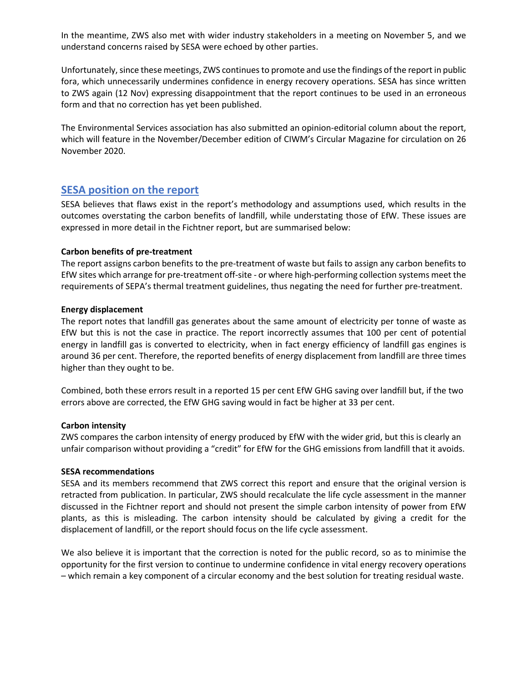In the meantime, ZWS also met with wider industry stakeholders in a meeting on November 5, and we understand concerns raised by SESA were echoed by other parties.

Unfortunately, since these meetings, ZWS continues to promote and use the findings of the report in public fora, which unnecessarily undermines confidence in energy recovery operations. SESA has since written to ZWS again (12 Nov) expressing disappointment that the report continues to be used in an erroneous form and that no correction has yet been published.

The Environmental Services association has also submitted an opinion-editorial column about the report, which will feature in the November/December edition of CIWM's Circular Magazine for circulation on 26 November 2020.

## SESA position on the report

SESA believes that flaws exist in the report's methodology and assumptions used, which results in the outcomes overstating the carbon benefits of landfill, while understating those of EfW. These issues are expressed in more detail in the Fichtner report, but are summarised below:

#### Carbon benefits of pre-treatment

The report assigns carbon benefits to the pre-treatment of waste but fails to assign any carbon benefits to EfW sites which arrange for pre-treatment off-site - or where high-performing collection systems meet the requirements of SEPA's thermal treatment guidelines, thus negating the need for further pre-treatment.

#### Energy displacement

The report notes that landfill gas generates about the same amount of electricity per tonne of waste as EfW but this is not the case in practice. The report incorrectly assumes that 100 per cent of potential energy in landfill gas is converted to electricity, when in fact energy efficiency of landfill gas engines is around 36 per cent. Therefore, the reported benefits of energy displacement from landfill are three times higher than they ought to be.

Combined, both these errors result in a reported 15 per cent EfW GHG saving over landfill but, if the two errors above are corrected, the EfW GHG saving would in fact be higher at 33 per cent.

#### Carbon intensity

ZWS compares the carbon intensity of energy produced by EfW with the wider grid, but this is clearly an unfair comparison without providing a "credit" for EfW for the GHG emissions from landfill that it avoids.

#### SESA recommendations

SESA and its members recommend that ZWS correct this report and ensure that the original version is retracted from publication. In particular, ZWS should recalculate the life cycle assessment in the manner discussed in the Fichtner report and should not present the simple carbon intensity of power from EfW plants, as this is misleading. The carbon intensity should be calculated by giving a credit for the displacement of landfill, or the report should focus on the life cycle assessment.

We also believe it is important that the correction is noted for the public record, so as to minimise the opportunity for the first version to continue to undermine confidence in vital energy recovery operations – which remain a key component of a circular economy and the best solution for treating residual waste.